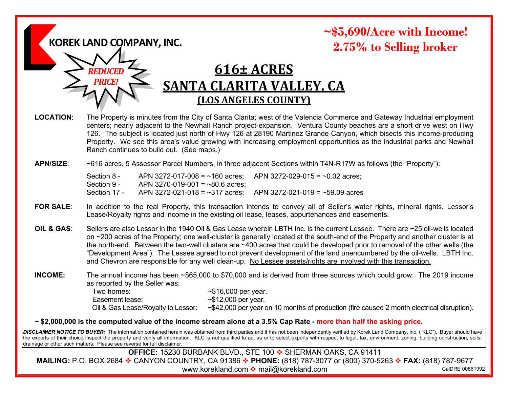**KOREK LAND COMPANY, INC.**

*REDUCED PRICE!*

## **~\$5,690/Acre with Income! 2.75% to Selling broker**

# **616± ACRES SANTA CLARITA VALLEY, CA (LOS ANGELES COUNTY)**

**LOCATION**: The Property is minutes from the City of Santa Clarita; west of the Valencia Commerce and Gateway Industrial employment centers; nearly adjacent to the Newhall Ranch project-expansion. Ventura County beaches are a short drive west on Hwy 126. The subject is located just north of Hwy 126 at 28190 Martinez Grande Canyon, which bisects this income-producing Property. We see this area's value growing with increasing employment opportunities as the industrial parks and Newhall Ranch continues to build out. (See maps.)

### **APN/SIZE**: ~616 acres, 5 Assessor Parcel Numbers, in three adjacent Sections within T4N-R17W as follows (the "Property"):

Section 8 - APN 3272-017-008 =  $\sim$ 160 acres; APN 3272-029-015 =  $\sim$ 0.02 acres; Section 9 - APN 3270-019-001 =  $~80.6$  acres: Section 17 - APN 3272-021-018 =  $\sim$ 317 acres; APN 3272-021-019 =  $\sim$ 59.09 acres

- **FOR SALE**: In addition to the real Property, this transaction intends to convey all of Seller's water rights, mineral rights, Lessor's Lease/Royalty rights and income in the existing oil lease, leases, appurtenances and easements.
- **OIL & GAS**: Sellers are also Lessor in the 1940 Oil & Gas Lease wherein LBTH Inc. is the current Lessee. There are ~25 oil-wells located on ~200 acres of the Property; one well-cluster is generally located at the south-end of the Property and another cluster is at the north-end. Between the two-well clusters are ~400 acres that could be developed prior to removal of the other wells (the "Development Area"). The Lessee agreed to not prevent development of the land unencumbered by the oil-wells. LBTH Inc. and Chevron are responsible for any well clean-up. No Lessee assets/rights are involved with this transaction.

**INCOME:** The annual income has been ~\$65,000 to \$70,000 and is derived from three sources which could grow. The 2019 income as reported by the Seller was:

> Two homes:  $\sim$ \$16,000 per year. Easement lease:  $\sim$ \$12,000 per year.<br>Oil & Gas Lease/Royalty to Lessor:  $\sim$ \$42,000 per year o

~\$42,000 per year on 10 months of production (fire caused 2 month electrical disruption).

### **~ \$2,000,000 is the computed value of the income stream alone at a 3.5% Cap Rate - more than half the asking price.**

*DISCLAIMER NOTICE TO BUYER:* The information contained herein was obtained from third parties and it has not been independently verified by Korek Land Company, Inc. ("KLC"). Buyer should have the experts of their choice inspect the property and verify all information. KLC is not qualified to act as or to select experts with respect to legal, tax, environment, zoning, building construction, soilsdrainage or other such matters. Please see reverse for full disclaimer.

**OFFICE:** 15230 BURBANK BLVD., STE 100 ❖ SHERMAN OAKS, CA 91411 **MAILING:** P.O. BOX 2684 ❖ CANYON COUNTRY, CA 91386 ❖ PHONE: (818) 787-3077 or (800) 370-5263 ❖ FAX: (818) 787-9677 www.korekland.com ❖ mail@korekland.com CalDRE 00861992